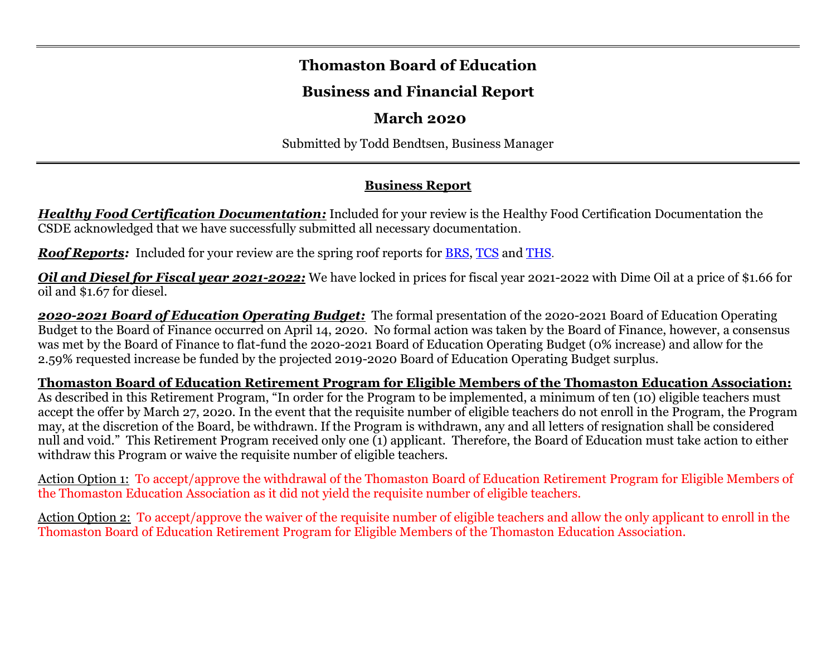#### **Thomaston Board of Education**

# **Business and Financial Report**

#### **March 2020**

Submitted by Todd Bendtsen, Business Manager

# **Business Report**

*Healthy Food Certification Documentation:* Included for your review is the Healthy Food Certification Documentation the CSDE acknowledged that we have successfully submitted all necessary documentation.

*Roof Reports:* Included for your review are the spring roof reports for [BRS,](https://drive.google.com/file/d/1w9j6JKcn0VkiwzeGO_6cEJXltRRd859Z/view?usp=sharing) [TCS](https://drive.google.com/file/d/1gnMjmWTU65T3wLt9J8sFFx8fNy2z-N3g/view?usp=sharing) and [THS](https://drive.google.com/file/d/1dR0ZO_8MPeUQ4iyp4_-u5A-ppagAgDrj/view?usp=sharing).

*Oil and Diesel for Fiscal year 2021-2022:* We have locked in prices for fiscal year 2021-2022 with Dime Oil at a price of \$1.66 for oil and \$1.67 for diesel.

*2020-2021 Board of Education Operating Budget:* The formal presentation of the 2020-2021 Board of Education Operating Budget to the Board of Finance occurred on April 14, 2020. No formal action was taken by the Board of Finance, however, a consensus was met by the Board of Finance to flat-fund the 2020-2021 Board of Education Operating Budget (0% increase) and allow for the 2.59% requested increase be funded by the projected 2019-2020 Board of Education Operating Budget surplus.

**Thomaston Board of Education Retirement Program for Eligible Members of the Thomaston Education Association:** As described in this Retirement Program, "In order for the Program to be implemented, a minimum of ten (10) eligible teachers must accept the offer by March 27, 2020. In the event that the requisite number of eligible teachers do not enroll in the Program, the Program may, at the discretion of the Board, be withdrawn. If the Program is withdrawn, any and all letters of resignation shall be considered null and void." This Retirement Program received only one (1) applicant. Therefore, the Board of Education must take action to either withdraw this Program or waive the requisite number of eligible teachers.

Action Option 1: To accept/approve the withdrawal of the Thomaston Board of Education Retirement Program for Eligible Members of the Thomaston Education Association as it did not yield the requisite number of eligible teachers.

Action Option 2: To accept/approve the waiver of the requisite number of eligible teachers and allow the only applicant to enroll in the Thomaston Board of Education Retirement Program for Eligible Members of the Thomaston Education Association.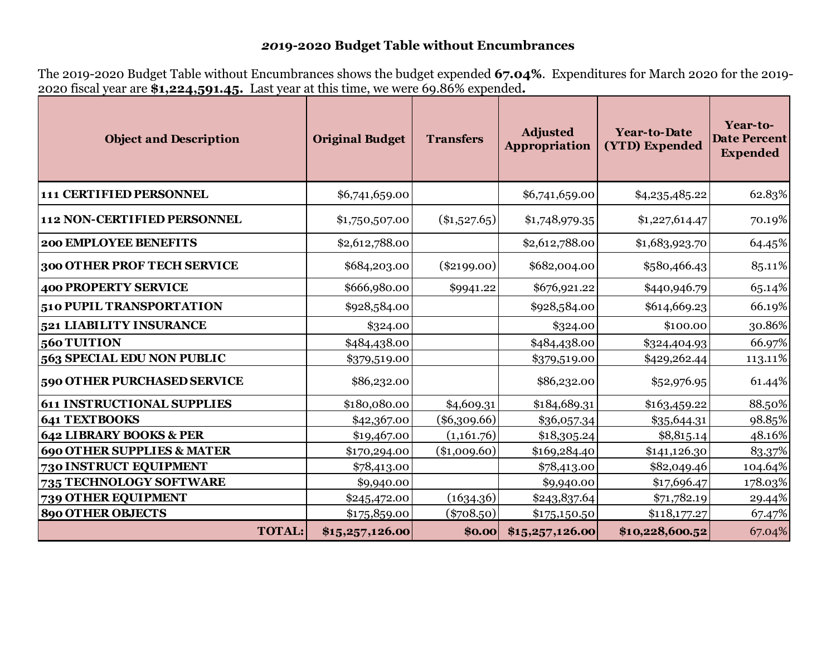# *20***19-2020 Budget Table without Encumbrances**

The 2019-2020 Budget Table without Encumbrances shows the budget expended **67.04%**. Expenditures for March 2020 for the 2019- 2020 fiscal year are **\$1,224,591.45.** Last year at this time, we were 69.86% expended**.**

| <b>Object and Description</b>         | <b>Original Budget</b> | <b>Transfers</b> | <b>Adjusted</b><br>Appropriation | <b>Year-to-Date</b><br>(YTD) Expended | Year-to-<br><b>Date Percent</b><br><b>Expended</b> |
|---------------------------------------|------------------------|------------------|----------------------------------|---------------------------------------|----------------------------------------------------|
| 111 CERTIFIED PERSONNEL               | \$6,741,659.00         |                  | \$6,741,659.00                   | \$4,235,485.22                        | 62.83%                                             |
| <b>112 NON-CERTIFIED PERSONNEL</b>    | \$1,750,507.00         | $(*1,527.65)$    | \$1,748,979.35                   | \$1,227,614.47                        | 70.19%                                             |
| <b>200 EMPLOYEE BENEFITS</b>          | \$2,612,788.00         |                  | \$2,612,788.00                   | \$1,683,923.70                        | 64.45%                                             |
| 300 OTHER PROF TECH SERVICE           | \$684,203.00           | $(\$2199.00)$    | \$682,004.00                     | \$580,466.43                          | 85.11%                                             |
| 400 PROPERTY SERVICE                  | \$666,980.00           | \$9941.22        | \$676,921.22                     | \$440,946.79                          | 65.14%                                             |
| 510 PUPIL TRANSPORTATION              | \$928,584.00           |                  | \$928,584.00                     | \$614,669.23                          | 66.19%                                             |
| 521 LIABILITY INSURANCE               | \$324.00               |                  | \$324.00                         | \$100.00                              | 30.86%                                             |
| 560 TUITION                           | \$484,438.00           |                  | \$484,438.00                     | \$324,404.93                          | 66.97%                                             |
| <b>563 SPECIAL EDU NON PUBLIC</b>     | \$379,519.00           |                  | \$379,519.00                     | \$429,262.44                          | 113.11%                                            |
| 590 OTHER PURCHASED SERVICE           | \$86,232.00            |                  | \$86,232.00                      | \$52,976.95                           | 61.44%                                             |
| <b>611 INSTRUCTIONAL SUPPLIES</b>     | \$180,080.00           | \$4,609.31       | \$184,689.31                     | \$163,459.22                          | 88.50%                                             |
| 641 TEXTBOOKS                         | \$42,367.00            | $(\$6,309.66)$   | \$36,057.34                      | \$35,644.31                           | 98.85%                                             |
| <b>642 LIBRARY BOOKS &amp; PER</b>    | \$19,467.00            | (1,161.76)       | \$18,305.24                      | \$8,815.14                            | 48.16%                                             |
| <b>690 OTHER SUPPLIES &amp; MATER</b> | \$170,294.00           | $(\$1,009.60)$   | \$169,284.40                     | \$141,126.30                          | 83.37%                                             |
| <b>730 INSTRUCT EQUIPMENT</b>         | \$78,413.00            |                  | \$78,413.00                      | \$82,049.46                           | 104.64%                                            |
| 735 TECHNOLOGY SOFTWARE               | \$9,940.00             |                  | \$9,940.00                       | \$17,696.47                           | 178.03%                                            |
| 739 OTHER EQUIPMENT                   | \$245,472.00           | (1634.36)        | \$243,837.64                     | \$71,782.19                           | 29.44%                                             |
| <b>890 OTHER OBJECTS</b>              | \$175,859.00           | $(\$708.50)$     | \$175,150.50                     | \$118,177.27                          | 67.47%                                             |
| <b>TOTAL:</b>                         | \$15,257,126.00        | \$0.00           | \$15,257,126.00                  | \$10,228,600.52                       | 67.04%                                             |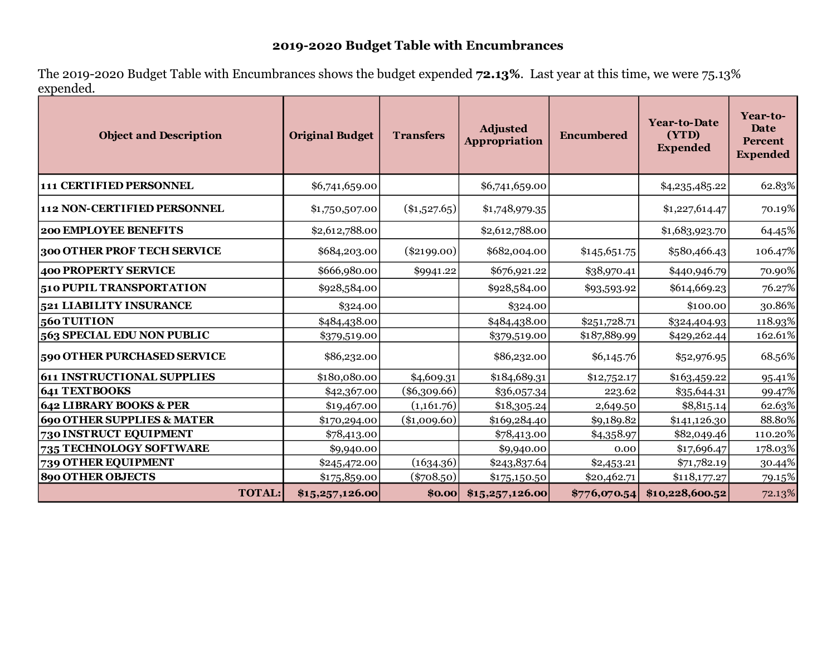# **2019-2020 Budget Table with Encumbrances**

The 2019-2020 Budget Table with Encumbrances shows the budget expended **72.13%**. Last year at this time, we were 75.13% expended.

| <b>Object and Description</b>         | <b>Original Budget</b> | <b>Transfers</b> | <b>Adjusted</b><br><b>Appropriation</b> | <b>Encumbered</b> | <b>Year-to-Date</b><br>(YTD)<br><b>Expended</b> | Year-to-<br>Date<br>Percent<br><b>Expended</b> |  |
|---------------------------------------|------------------------|------------------|-----------------------------------------|-------------------|-------------------------------------------------|------------------------------------------------|--|
| 111 CERTIFIED PERSONNEL               | \$6,741,659.00         |                  | \$6,741,659.00                          |                   | \$4,235,485.22                                  | 62.83%                                         |  |
| 112 NON-CERTIFIED PERSONNEL           | \$1,750,507.00         | $(\$1,527.65)$   | \$1,748,979.35                          |                   | \$1,227,614.47                                  | 70.19%                                         |  |
| <b>200 EMPLOYEE BENEFITS</b>          | \$2,612,788.00         |                  | \$2,612,788.00                          |                   | \$1,683,923.70                                  | 64.45%                                         |  |
| 300 OTHER PROF TECH SERVICE           | \$684,203.00           | $(\$2199.00)$    | \$682,004.00                            | \$145,651.75      | \$580,466.43                                    | 106.47%                                        |  |
| <b>400 PROPERTY SERVICE</b>           | \$666,980.00           | \$9941.22        | \$676,921.22                            | \$38,970.41       | \$440,946.79                                    | 70.90%                                         |  |
| 510 PUPIL TRANSPORTATION              | \$928,584.00           |                  | \$928,584.00                            | \$93,593.92       | \$614,669.23                                    | 76.27%                                         |  |
| 521 LIABILITY INSURANCE               | \$324.00               |                  | \$324.00                                |                   | \$100.00                                        | 30.86%                                         |  |
| 560 TUITION                           | \$484,438.00           |                  | \$484,438.00                            | \$251,728.71      | \$324,404.93                                    | 118.93%                                        |  |
| 563 SPECIAL EDU NON PUBLIC            | \$379,519.00           |                  | \$379,519.00                            | \$187,889.99      | \$429,262.44                                    | 162.61%                                        |  |
| 590 OTHER PURCHASED SERVICE           | \$86,232.00            |                  | \$86,232.00                             | \$6,145.76        | \$52,976.95                                     | 68.56%                                         |  |
| <b>611 INSTRUCTIONAL SUPPLIES</b>     | \$180,080.00           | \$4,609.31       | \$184,689.31                            | \$12,752.17       | \$163,459.22                                    | 95.41%                                         |  |
| <b>641 TEXTBOOKS</b>                  | \$42,367.00            | $(\$6,309.66)$   | \$36,057.34                             | 223.62            | \$35,644.31                                     | 99.47%                                         |  |
| 642 LIBRARY BOOKS & PER               | \$19,467.00            | (1,161.76)       | \$18,305.24                             | 2,649.50          | \$8,815.14                                      | 62.63%                                         |  |
| <b>690 OTHER SUPPLIES &amp; MATER</b> | \$170,294.00           | $(*1,009.60)$    | \$169,284.40                            | \$9,189.82        | \$141,126.30                                    | 88.80%                                         |  |
| 730 INSTRUCT EQUIPMENT                | \$78,413.00            |                  | \$78,413.00                             | \$4,358.97        | \$82,049.46                                     | 110.20%                                        |  |
| 735 TECHNOLOGY SOFTWARE               | \$9,940.00             |                  | \$9,940.00                              | 0.00              | \$17,696.47                                     | 178.03%                                        |  |
| 739 OTHER EQUIPMENT                   | \$245,472.00           | (1634.36)        | \$243,837.64                            | \$2,453.21        | \$71,782.19                                     | 30.44%                                         |  |
| <b>890 OTHER OBJECTS</b>              | \$175,859.00           | $(\$708.50)$     | \$175,150.50                            | \$20,462.71       | \$118,177.27                                    | 79.15%                                         |  |
| <b>TOTAL:</b>                         | \$15,257,126.00        | \$0.00           | \$15,257,126.00                         | \$776,070.54]     | \$10,228,600.52                                 | 72.13%                                         |  |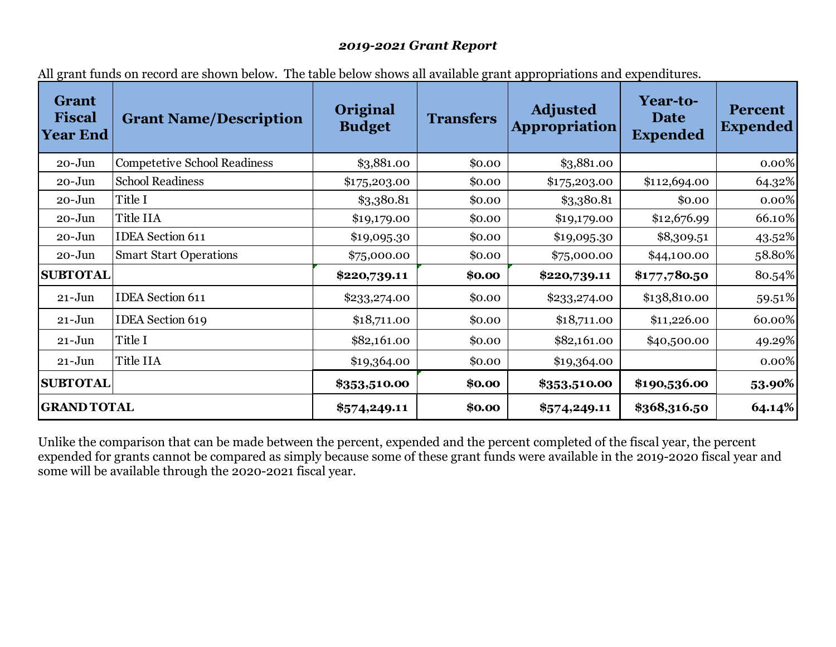#### *2019-2021 Grant Report*

| Grant<br><b>Fiscal</b><br><b>Year End</b> | Andrews on record are ono an second The taste seron ono an avanasse Anni appropriations and expenditures.<br><b>Grant Name/Description</b> | Original<br><b>Budget</b> | <b>Transfers</b> | <b>Adjusted</b><br><b>Appropriation</b> | Year-to-<br><b>Date</b><br><b>Expended</b> | <b>Percent</b><br><b>Expended</b> |
|-------------------------------------------|--------------------------------------------------------------------------------------------------------------------------------------------|---------------------------|------------------|-----------------------------------------|--------------------------------------------|-----------------------------------|
| $20 - Jun$                                | <b>Competetive School Readiness</b>                                                                                                        | \$3,881.00                | \$0.00           | \$3,881.00                              |                                            | 0.00%                             |
| $20 - Jun$                                | <b>School Readiness</b>                                                                                                                    | \$175,203.00              | \$0.00           | \$175,203.00                            | \$112,694.00                               | 64.32%                            |
| $20 - Jun$                                | Title I                                                                                                                                    | \$3,380.81                | \$0.00           | \$3,380.81                              | \$0.00                                     | 0.00%                             |
| $20 - Jun$                                | Title IIA                                                                                                                                  | \$19,179.00               | \$0.00           | \$19,179.00                             | \$12,676.99                                | 66.10%                            |
| $20 - Jun$                                | <b>IDEA</b> Section 611                                                                                                                    | \$19,095.30               | \$0.00           | \$19,095.30                             | \$8,309.51                                 | 43.52%                            |
| $20 - Jun$                                | <b>Smart Start Operations</b>                                                                                                              | \$75,000.00               | \$0.00           | \$75,000.00                             | \$44,100.00                                | 58.80%                            |
| <b>SUBTOTAL</b>                           |                                                                                                                                            | \$220,739.11              | \$0.00           | \$220,739.11                            | \$177,780.50                               | 80.54%                            |
| $21 - Jun$                                | <b>IDEA</b> Section 611                                                                                                                    | \$233,274.00              | \$0.00           | \$233,274.00                            | \$138,810.00                               | 59.51%                            |
| $21 - Jun$                                | <b>IDEA</b> Section 619                                                                                                                    | \$18,711.00               | \$0.00           | \$18,711.00                             | \$11,226.00                                | 60.00%                            |
| $21 - Jun$                                | Title I                                                                                                                                    | \$82,161.00               | \$0.00           | \$82,161.00                             | \$40,500.00                                | 49.29%                            |
| $21 - Jun$                                | Title IIA                                                                                                                                  | \$19,364.00               | \$0.00           | \$19,364.00                             |                                            | 0.00%                             |
| <b>SUBTOTAL</b>                           |                                                                                                                                            | \$353,510.00              | \$0.00           | \$353,510.00                            | \$190,536.00                               | 53.90%                            |
| <b>GRAND TOTAL</b>                        |                                                                                                                                            | \$574,249.11              | \$0.00           | \$574,249.11                            | \$368,316.50                               | 64.14%                            |

All grant funds on record are shown below. The table below shows all available grant appropriations and expenditures.

Unlike the comparison that can be made between the percent, expended and the percent completed of the fiscal year, the percent expended for grants cannot be compared as simply because some of these grant funds were available in the 2019-2020 fiscal year and some will be available through the 2020-2021 fiscal year.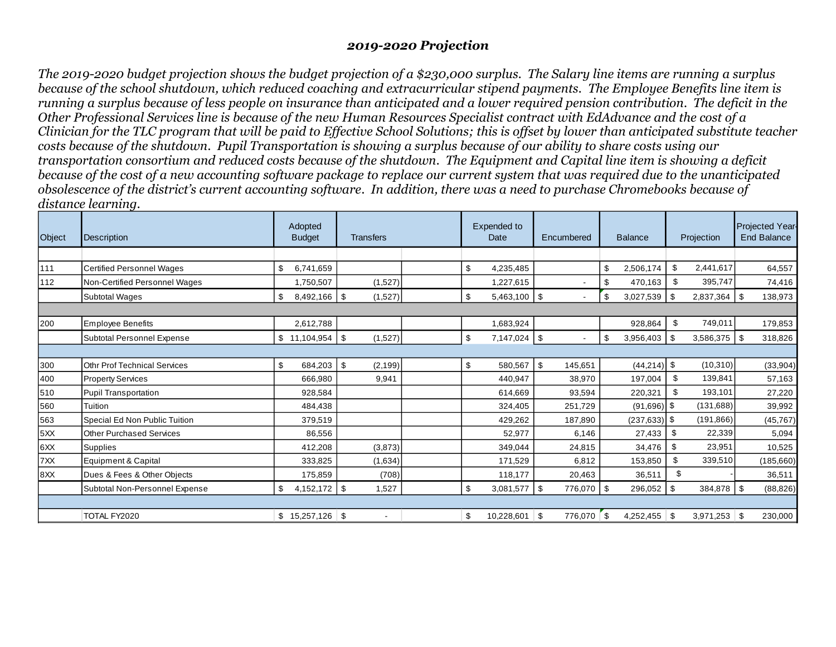#### *2019-2020 Projection*

*The 2019-2020 budget projection shows the budget projection of a \$230,000 surplus. The Salary line items are running a surplus because of the school shutdown, which reduced coaching and extracurricular stipend payments. The Employee Benefits line item is running a surplus because of less people on insurance than anticipated and a lower required pension contribution. The deficit in the Other Professional Services line is because of the new Human Resources Specialist contract with EdAdvance and the cost of a Clinician for the TLC program that will be paid to Effective School Solutions; this is offset by lower than anticipated substitute teacher costs because of the shutdown. Pupil Transportation is showing a surplus because of our ability to share costs using our transportation consortium and reduced costs because of the shutdown. The Equipment and Capital line item is showing a deficit because of the cost of a new accounting software package to replace our current system that was required due to the unanticipated obsolescence of the district's current accounting software. In addition, there was a need to purchase Chromebooks because of distance learning.*

| Object | <b>Description</b>                  | Adopted<br><b>Budget</b> | <b>Transfers</b> |  | <b>Expended to</b><br>Encumbered<br>Date |                          | <b>Balance</b>       | Projection   |                | <b>Projected Year-</b><br><b>End Balance</b> |            |
|--------|-------------------------------------|--------------------------|------------------|--|------------------------------------------|--------------------------|----------------------|--------------|----------------|----------------------------------------------|------------|
|        |                                     |                          |                  |  |                                          |                          |                      |              |                |                                              |            |
| 111    | <b>Certified Personnel Wages</b>    | \$<br>6.741.659          |                  |  | \$<br>4,235,485                          |                          | \$<br>2,506,174      | \$           | 2,441,617      |                                              | 64,557     |
| 112    | Non-Certified Personnel Wages       | 1,750,507                | (1,527)          |  | 1,227,615                                |                          | \$<br>470,163        | \$           | 395,747        |                                              | 74,416     |
|        | <b>Subtotal Wages</b>               | \$<br>8,492,166 \$       | (1,527)          |  | \$<br>$5,463,100$ \$                     |                          | \$<br>$3,027,539$ \$ |              |                |                                              | 138,973    |
|        |                                     |                          |                  |  |                                          |                          |                      |              |                |                                              |            |
| 200    | <b>Employee Benefits</b>            | 2,612,788                |                  |  | 1,683,924                                |                          | 928,864              | \$           | 749,011        |                                              | 179,853    |
|        | Subtotal Personnel Expense          | $11,104,954$ \$          | (1,527)          |  | \$<br>7,147,024                          | $\vert$ \$               | 3,956,403<br>\$      | $\sqrt{3}$   | $3,586,375$ \$ |                                              | 318,826    |
|        |                                     |                          |                  |  |                                          |                          |                      |              |                |                                              |            |
| 300    | <b>Othr Prof Technical Services</b> | \$<br>684,203            | \$<br>(2, 199)   |  | \$<br>580,567                            | \$<br>145,651            | $(44,214)$ \$        |              | (10, 310)      |                                              | (33,904)   |
| 400    | <b>Property Services</b>            | 666,980                  | 9,941            |  | 440.947                                  | 38,970                   | 197,004              | $\mathbf{S}$ | 139,841        |                                              | 57,163     |
| 510    | <b>Pupil Transportation</b>         | 928,584                  |                  |  | 614,669                                  | 93,594                   | 220,321              | \$           | 193,101        |                                              | 27,220     |
| 560    | Tuition                             | 484,438                  |                  |  | 324,405                                  | 251.729                  | $(91,696)$ \$        |              | (131,688)      |                                              | 39,992     |
| 563    | Special Ed Non Public Tuition       | 379,519                  |                  |  | 429,262                                  | 187,890                  | $(237, 633)$ \$      |              | (191, 866)     |                                              | (45, 767)  |
| 5XX    | <b>Other Purchased Services</b>     | 86,556                   |                  |  | 52,977                                   | 6,146                    | 27,433               | \$           | 22,339         |                                              | 5,094      |
| 6XX    | <b>Supplies</b>                     | 412,208                  | (3,873)          |  | 349,044                                  | 24,815                   | 34,476               | \$           | 23,951         |                                              | 10,525     |
| 7XX    | Equipment & Capital                 | 333,825                  | (1,634)          |  | 171,529                                  | 6.812                    | 153,850              | \$.          | 339,510        |                                              | (185, 660) |
| 8XX    | Dues & Fees & Other Objects         | 175.859                  | (708)            |  | 118,177                                  | 20,463                   | 36,511               | \$           |                |                                              | 36,511     |
|        | Subtotal Non-Personnel Expense      | \$<br>$4,152,172$ \$     | 1,527            |  | \$<br>3,081,577                          | $\sqrt{3}$<br>776,070 \$ | 296,052              | l \$         | 384,878   \$   |                                              | (88, 826)  |
|        |                                     |                          |                  |  |                                          |                          |                      |              |                |                                              |            |
|        | TOTAL FY2020                        | $$15,257,126$ \\$        | $\blacksquare$   |  | \$<br>10,228,601                         | \$<br>776,070            | \$<br>$4,252,455$ \$ |              | 3,971,253      | \$                                           | 230,000    |